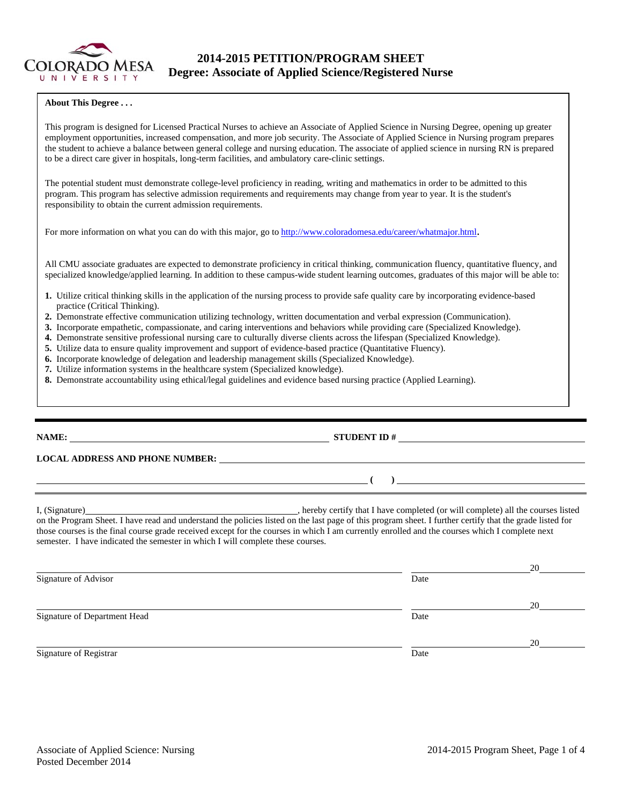

# **2014-2015 PETITION/PROGRAM SHEET Degree: Associate of Applied Science/Registered Nurse**

### **About This Degree . . .**

This program is designed for Licensed Practical Nurses to achieve an Associate of Applied Science in Nursing Degree, opening up greater employment opportunities, increased compensation, and more job security. The Associate of Applied Science in Nursing program prepares the student to achieve a balance between general college and nursing education. The associate of applied science in nursing RN is prepared to be a direct care giver in hospitals, long-term facilities, and ambulatory care-clinic settings.

The potential student must demonstrate college-level proficiency in reading, writing and mathematics in order to be admitted to this program. This program has selective admission requirements and requirements may change from year to year. It is the student's responsibility to obtain the current admission requirements.

For more information on what you can do with this major, go to http://www.coloradomesa.edu/career/whatmajor.html.

All CMU associate graduates are expected to demonstrate proficiency in critical thinking, communication fluency, quantitative fluency, and specialized knowledge/applied learning. In addition to these campus-wide student learning outcomes, graduates of this major will be able to:

- **1.** Utilize critical thinking skills in the application of the nursing process to provide safe quality care by incorporating evidence-based practice (Critical Thinking).
- **2.** Demonstrate effective communication utilizing technology, written documentation and verbal expression (Communication).
- **3.** Incorporate empathetic, compassionate, and caring interventions and behaviors while providing care (Specialized Knowledge).
- **4.** Demonstrate sensitive professional nursing care to culturally diverse clients across the lifespan (Specialized Knowledge).
- **5.** Utilize data to ensure quality improvement and support of evidence-based practice (Quantitative Fluency).
- **6.** Incorporate knowledge of delegation and leadership management skills (Specialized Knowledge).
- **7.** Utilize information systems in the healthcare system (Specialized knowledge).
- **8.** Demonstrate accountability using ethical/legal guidelines and evidence based nursing practice (Applied Learning).

# **NAME: STUDENT ID #**

# **LOCAL ADDRESS AND PHONE NUMBER:**

I, (Signature) , hereby certify that I have completed (or will complete) all the courses listed on the Program Sheet. I have read and understand the policies listed on the last page of this program sheet. I further certify that the grade listed for those courses is the final course grade received except for the courses in which I am currently enrolled and the courses which I complete next semester. I have indicated the semester in which I will complete these courses.

|                              |      | 20 |
|------------------------------|------|----|
| Signature of Advisor         | Date |    |
|                              |      | 20 |
| Signature of Department Head | Date |    |
|                              |      | 20 |
| Signature of Registrar       | Date |    |

 **( )**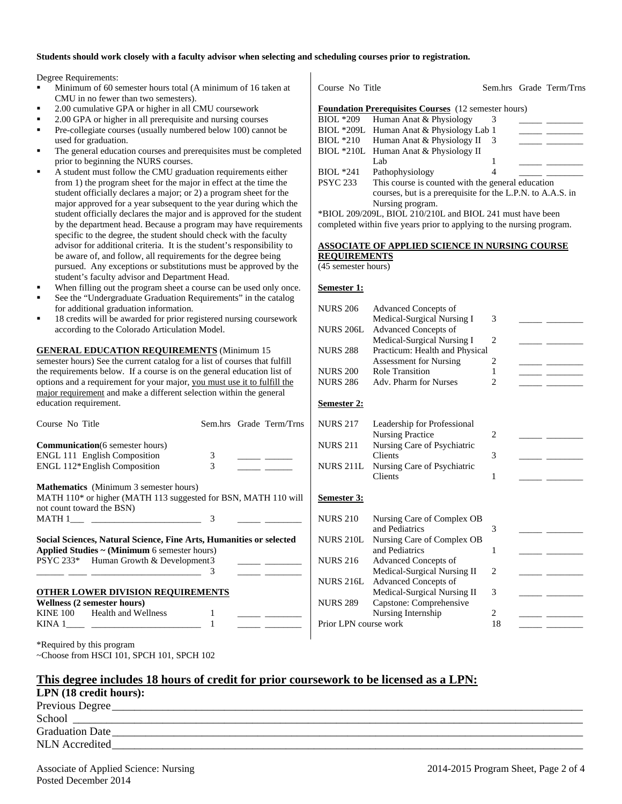#### **Students should work closely with a faculty advisor when selecting and scheduling courses prior to registration.**

Degree Requirements:

- Minimum of 60 semester hours total (A minimum of 16 taken at CMU in no fewer than two semesters).
- 2.00 cumulative GPA or higher in all CMU coursework
- 2.00 GPA or higher in all prerequisite and nursing courses
- Pre-collegiate courses (usually numbered below 100) cannot be used for graduation.
- The general education courses and prerequisites must be completed prior to beginning the NURS courses.
- A student must follow the CMU graduation requirements either from 1) the program sheet for the major in effect at the time the student officially declares a major; or 2) a program sheet for the major approved for a year subsequent to the year during which the student officially declares the major and is approved for the student by the department head. Because a program may have requirements specific to the degree, the student should check with the faculty advisor for additional criteria. It is the student's responsibility to be aware of, and follow, all requirements for the degree being pursued. Any exceptions or substitutions must be approved by the student's faculty advisor and Department Head.
- When filling out the program sheet a course can be used only once.
- See the "Undergraduate Graduation Requirements" in the catalog for additional graduation information.
- 18 credits will be awarded for prior registered nursing coursework according to the Colorado Articulation Model.

**GENERAL EDUCATION REQUIREMENTS** (Minimum 15 semester hours) See the current catalog for a list of courses that fulfill the requirements below. If a course is on the general education list of options and a requirement for your major, you must use it to fulfill the major requirement and make a different selection within the general education requirement.

| Course No Title                         |                                                                                                                                                                    |   | Sem.hrs Grade Term/Trns                                                                          |
|-----------------------------------------|--------------------------------------------------------------------------------------------------------------------------------------------------------------------|---|--------------------------------------------------------------------------------------------------|
| <b>Communication</b> (6 semester hours) |                                                                                                                                                                    |   |                                                                                                  |
| <b>ENGL 111 English Composition</b>     |                                                                                                                                                                    | 3 |                                                                                                  |
| ENGL 112*English Composition            |                                                                                                                                                                    | 3 |                                                                                                  |
|                                         | <b>Mathematics</b> (Minimum 3 semester hours)                                                                                                                      |   |                                                                                                  |
|                                         | MATH 110* or higher (MATH 113 suggested for BSN, MATH 110 will                                                                                                     |   |                                                                                                  |
| not count toward the BSN)               |                                                                                                                                                                    |   |                                                                                                  |
|                                         |                                                                                                                                                                    | 3 |                                                                                                  |
|                                         | Social Sciences, Natural Science, Fine Arts, Humanities or selected<br>Applied Studies $\sim$ (Minimum 6 semester hours)<br>PSYC 233* Human Growth & Development 3 | 3 | <u> 1989 - Johann Barnett, francuski politik (</u><br><u> 1989 - Alexandr Store, professor e</u> |
|                                         | <b>OTHER LOWER DIVISION REQUIREMENTS</b>                                                                                                                           |   |                                                                                                  |
| <b>Wellness (2 semester hours)</b>      |                                                                                                                                                                    |   |                                                                                                  |
| KINE 100 Health and Wellness            |                                                                                                                                                                    |   |                                                                                                  |
|                                         |                                                                                                                                                                    |   |                                                                                                  |
| *Required by this program               |                                                                                                                                                                    |   |                                                                                                  |

Course No Title Sem.hrs Grade Term/Trns **Foundation Prerequisites Courses** (12 semester hours) BIOL \*209 Human Anat & Physiology 3 BIOL \*209L Human Anat & Physiology Lab 1 BIOL  $*210$  Human Anat & Physiology II 3 BIOL \*210L Human Anat & Physiology II Lab  $1 \quad \underline{\qquad}$ BIOL \*241 Pathophysiology 4 PSYC 233 This course is counted with the general education courses, but is a prerequisite for the L.P.N. to A.A.S. in Nursing program.

\*BIOL 209/209L, BIOL 210/210L and BIOL 241 must have been completed within five years prior to applying to the nursing program.

# **ASSOCIATE OF APPLIED SCIENCE IN NURSING COURSE REQUIREMENTS**

(45 semester hours)

#### **Semester 1:**

| <b>NURS 206</b>       | <b>Advanced Concepts of</b>                                | 3                           |  |
|-----------------------|------------------------------------------------------------|-----------------------------|--|
| <b>NURS 206L</b>      | Medical-Surgical Nursing I<br><b>Advanced Concepts of</b>  |                             |  |
|                       | Medical-Surgical Nursing I                                 | $\overline{c}$              |  |
| <b>NURS 288</b>       | Practicum: Health and Physical                             |                             |  |
|                       | <b>Assessment for Nursing</b>                              | 2                           |  |
| <b>NURS 200</b>       | <b>Role Transition</b>                                     | 1                           |  |
| <b>NURS 286</b>       | Adv. Pharm for Nurses                                      | $\mathcal{D}_{\mathcal{L}}$ |  |
| Semester 2:           |                                                            |                             |  |
| <b>NURS 217</b>       | Leadership for Professional                                |                             |  |
|                       | <b>Nursing Practice</b>                                    | 2                           |  |
| <b>NURS 211</b>       | Nursing Care of Psychiatric                                |                             |  |
|                       | Clients                                                    | 3                           |  |
| <b>NURS 211L</b>      | Nursing Care of Psychiatric                                |                             |  |
|                       | Clients                                                    | 1                           |  |
| Semester 3:           |                                                            |                             |  |
| <b>NURS 210</b>       | Nursing Care of Complex OB                                 |                             |  |
|                       | and Pediatrics                                             | 3                           |  |
| <b>NURS 210L</b>      | Nursing Care of Complex OB                                 |                             |  |
|                       | and Pediatrics                                             | 1                           |  |
| <b>NURS 216</b>       | <b>Advanced Concepts of</b>                                |                             |  |
| <b>NURS 216L</b>      | Medical-Surgical Nursing II<br><b>Advanced Concepts of</b> | 2                           |  |
|                       | Medical-Surgical Nursing II                                | 3                           |  |
| <b>NURS 289</b>       | Capstone: Comprehensive                                    |                             |  |
|                       | Nursing Internship                                         | $\overline{c}$              |  |
| Prior LPN course work |                                                            | 18                          |  |

|  | This degree includes 18 hours of credit for prior coursework to be licensed as a LPN: |  |
|--|---------------------------------------------------------------------------------------|--|
|--|---------------------------------------------------------------------------------------|--|

| LPN (18 credit hours): |  |
|------------------------|--|
| Previous Degree        |  |

School \_\_\_\_\_\_\_\_\_\_\_\_\_\_\_\_\_\_\_\_\_\_\_\_\_\_\_\_\_\_\_\_\_\_\_\_\_\_\_\_\_\_\_\_\_\_\_\_\_\_\_\_\_\_\_\_\_\_\_\_\_\_\_\_\_\_\_\_\_\_\_\_\_\_\_\_\_\_\_\_\_\_\_\_\_\_\_\_\_\_\_ Graduation Date NLN Accredited \_\_\_\_\_\_\_\_\_\_\_\_\_\_\_\_\_\_\_\_\_\_\_\_\_\_\_\_\_\_\_\_\_\_\_\_\_\_\_\_\_\_\_\_\_\_\_\_\_\_\_\_\_\_\_\_\_\_\_\_\_\_\_\_\_\_\_\_\_\_\_\_\_\_\_\_\_\_\_\_\_\_\_\_

~Choose from HSCI 101, SPCH 101, SPCH 102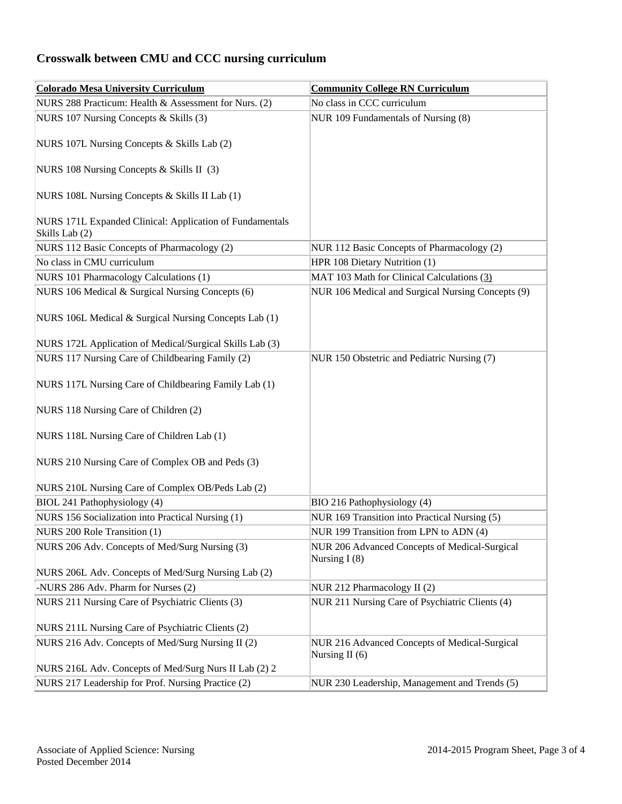# **Crosswalk between CMU and CCC nursing curriculum**

| <b>Colorado Mesa University Curriculum</b>                                 | <b>Community College RN Curriculum</b>                          |
|----------------------------------------------------------------------------|-----------------------------------------------------------------|
| NURS 288 Practicum: Health & Assessment for Nurs. (2)                      | No class in CCC curriculum                                      |
| NURS 107 Nursing Concepts & Skills (3)                                     | NUR 109 Fundamentals of Nursing (8)                             |
| NURS 107L Nursing Concepts & Skills Lab (2)                                |                                                                 |
| NURS 108 Nursing Concepts & Skills II (3)                                  |                                                                 |
| NURS 108L Nursing Concepts & Skills II Lab (1)                             |                                                                 |
| NURS 171L Expanded Clinical: Application of Fundamentals<br>Skills Lab (2) |                                                                 |
| NURS 112 Basic Concepts of Pharmacology (2)                                | NUR 112 Basic Concepts of Pharmacology (2)                      |
| No class in CMU curriculum                                                 | HPR 108 Dietary Nutrition (1)                                   |
| NURS 101 Pharmacology Calculations (1)                                     | MAT 103 Math for Clinical Calculations (3)                      |
| NURS 106 Medical & Surgical Nursing Concepts (6)                           | NUR 106 Medical and Surgical Nursing Concepts (9)               |
| NURS 106L Medical & Surgical Nursing Concepts Lab (1)                      |                                                                 |
| NURS 172L Application of Medical/Surgical Skills Lab (3)                   |                                                                 |
| NURS 117 Nursing Care of Childbearing Family (2)                           | NUR 150 Obstetric and Pediatric Nursing (7)                     |
| NURS 117L Nursing Care of Childbearing Family Lab (1)                      |                                                                 |
| NURS 118 Nursing Care of Children (2)                                      |                                                                 |
| NURS 118L Nursing Care of Children Lab (1)                                 |                                                                 |
| NURS 210 Nursing Care of Complex OB and Peds (3)                           |                                                                 |
| NURS 210L Nursing Care of Complex OB/Peds Lab (2)                          |                                                                 |
| BIOL 241 Pathophysiology (4)                                               | BIO 216 Pathophysiology (4)                                     |
| NURS 156 Socialization into Practical Nursing (1)                          | NUR 169 Transition into Practical Nursing (5)                   |
| NURS 200 Role Transition (1)                                               | NUR 199 Transition from LPN to ADN (4)                          |
| NURS 206 Adv. Concepts of Med/Surg Nursing (3)                             | NUR 206 Advanced Concepts of Medical-Surgical<br>Nursing $I(8)$ |
| NURS 206L Adv. Concepts of Med/Surg Nursing Lab (2)                        |                                                                 |
| -NURS 286 Adv. Pharm for Nurses (2)                                        | NUR 212 Pharmacology II (2)                                     |
| NURS 211 Nursing Care of Psychiatric Clients (3)                           | NUR 211 Nursing Care of Psychiatric Clients (4)                 |
| NURS 211L Nursing Care of Psychiatric Clients (2)                          |                                                                 |
| NURS 216 Adv. Concepts of Med/Surg Nursing II (2)                          | NUR 216 Advanced Concepts of Medical-Surgical                   |
|                                                                            | Nursing II (6)                                                  |
| NURS 216L Adv. Concepts of Med/Surg Nurs II Lab (2) 2                      |                                                                 |
| NURS 217 Leadership for Prof. Nursing Practice (2)                         | NUR 230 Leadership, Management and Trends (5)                   |